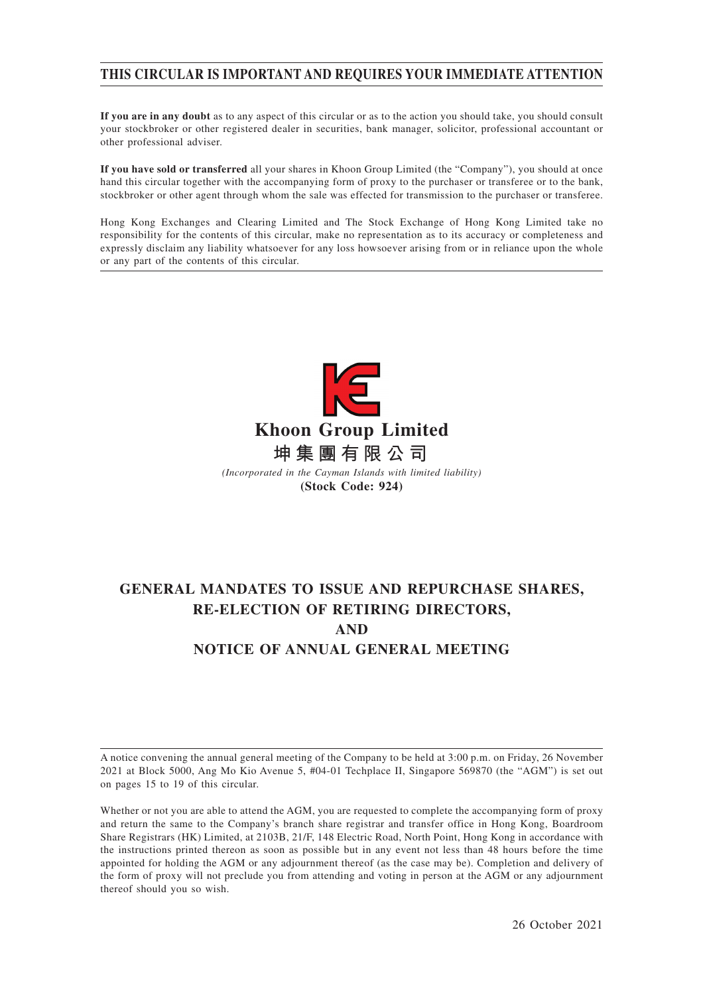# **THIS CIRCULAR IS IMPORTANT AND REQUIRES YOUR IMMEDIATE ATTENTION**

**If you are in any doubt** as to any aspect of this circular or as to the action you should take, you should consult your stockbroker or other registered dealer in securities, bank manager, solicitor, professional accountant or other professional adviser.

**If you have sold or transferred** all your shares in Khoon Group Limited (the "Company"), you should at once hand this circular together with the accompanying form of proxy to the purchaser or transferee or to the bank, stockbroker or other agent through whom the sale was effected for transmission to the purchaser or transferee.

Hong Kong Exchanges and Clearing Limited and The Stock Exchange of Hong Kong Limited take no responsibility for the contents of this circular, make no representation as to its accuracy or completeness and expressly disclaim any liability whatsoever for any loss howsoever arising from or in reliance upon the whole or any part of the contents of this circular.



**(Stock Code: 924)**

# **GENERAL MANDATES TO ISSUE AND REPURCHASE SHARES, RE-ELECTION OF RETIRING DIRECTORS, AND NOTICE OF ANNUAL GENERAL MEETING**

A notice convening the annual general meeting of the Company to be held at 3:00 p.m. on Friday, 26 November 2021 at Block 5000, Ang Mo Kio Avenue 5, #04-01 Techplace II, Singapore 569870 (the "AGM") is set out on pages 15 to 19 of this circular.

Whether or not you are able to attend the AGM, you are requested to complete the accompanying form of proxy and return the same to the Company's branch share registrar and transfer office in Hong Kong, Boardroom Share Registrars (HK) Limited, at 2103B, 21/F, 148 Electric Road, North Point, Hong Kong in accordance with the instructions printed thereon as soon as possible but in any event not less than 48 hours before the time appointed for holding the AGM or any adjournment thereof (as the case may be). Completion and delivery of the form of proxy will not preclude you from attending and voting in person at the AGM or any adjournment thereof should you so wish.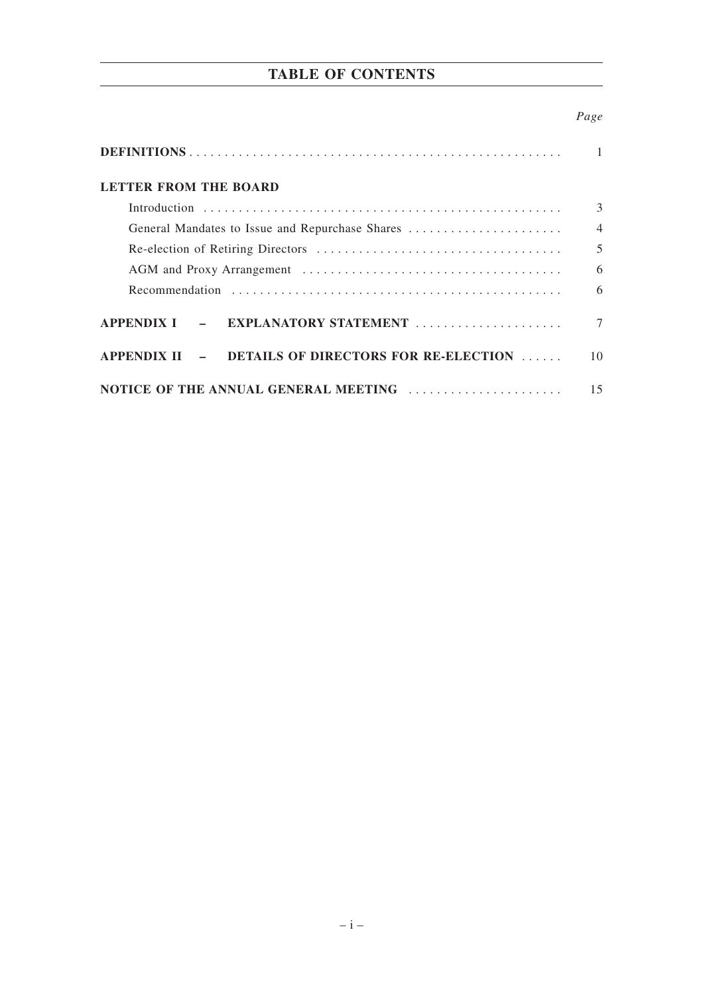# **TABLE OF CONTENTS**

# *Page*

| LETTER FROM THE BOARD                              |                |
|----------------------------------------------------|----------------|
|                                                    | 3              |
|                                                    | $\overline{4}$ |
|                                                    | 5              |
|                                                    | 6              |
|                                                    | 6              |
| APPENDIX I - EXPLANATORY STATEMENT                 |                |
| APPENDIX II - DETAILS OF DIRECTORS FOR RE-ELECTION | 10             |
| NOTICE OF THE ANNUAL GENERAL MEETING               | 15             |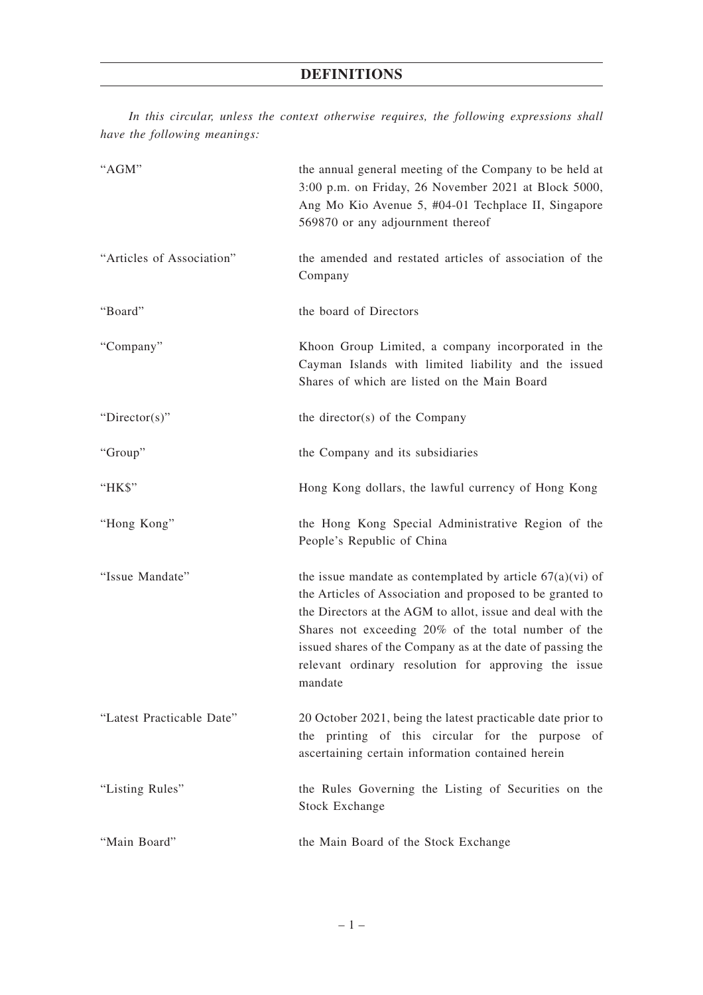*In this circular, unless the context otherwise requires, the following expressions shall have the following meanings:*

| "AGM"                     | the annual general meeting of the Company to be held at<br>3:00 p.m. on Friday, 26 November 2021 at Block 5000,<br>Ang Mo Kio Avenue 5, #04-01 Techplace II, Singapore<br>569870 or any adjournment thereof                                                                                                                                                                    |
|---------------------------|--------------------------------------------------------------------------------------------------------------------------------------------------------------------------------------------------------------------------------------------------------------------------------------------------------------------------------------------------------------------------------|
| "Articles of Association" | the amended and restated articles of association of the<br>Company                                                                                                                                                                                                                                                                                                             |
| "Board"                   | the board of Directors                                                                                                                                                                                                                                                                                                                                                         |
| "Company"                 | Khoon Group Limited, a company incorporated in the<br>Cayman Islands with limited liability and the issued<br>Shares of which are listed on the Main Board                                                                                                                                                                                                                     |
| " $Directory$ "           | the director(s) of the Company                                                                                                                                                                                                                                                                                                                                                 |
| "Group"                   | the Company and its subsidiaries                                                                                                                                                                                                                                                                                                                                               |
| "HK\$"                    | Hong Kong dollars, the lawful currency of Hong Kong                                                                                                                                                                                                                                                                                                                            |
| "Hong Kong"               | the Hong Kong Special Administrative Region of the<br>People's Republic of China                                                                                                                                                                                                                                                                                               |
| "Issue Mandate"           | the issue mandate as contemplated by article $67(a)(vi)$ of<br>the Articles of Association and proposed to be granted to<br>the Directors at the AGM to allot, issue and deal with the<br>Shares not exceeding 20% of the total number of the<br>issued shares of the Company as at the date of passing the<br>relevant ordinary resolution for approving the issue<br>mandate |
| "Latest Practicable Date" | 20 October 2021, being the latest practicable date prior to<br>the printing of this circular for the purpose of<br>ascertaining certain information contained herein                                                                                                                                                                                                           |
| "Listing Rules"           | the Rules Governing the Listing of Securities on the<br><b>Stock Exchange</b>                                                                                                                                                                                                                                                                                                  |
| "Main Board"              | the Main Board of the Stock Exchange                                                                                                                                                                                                                                                                                                                                           |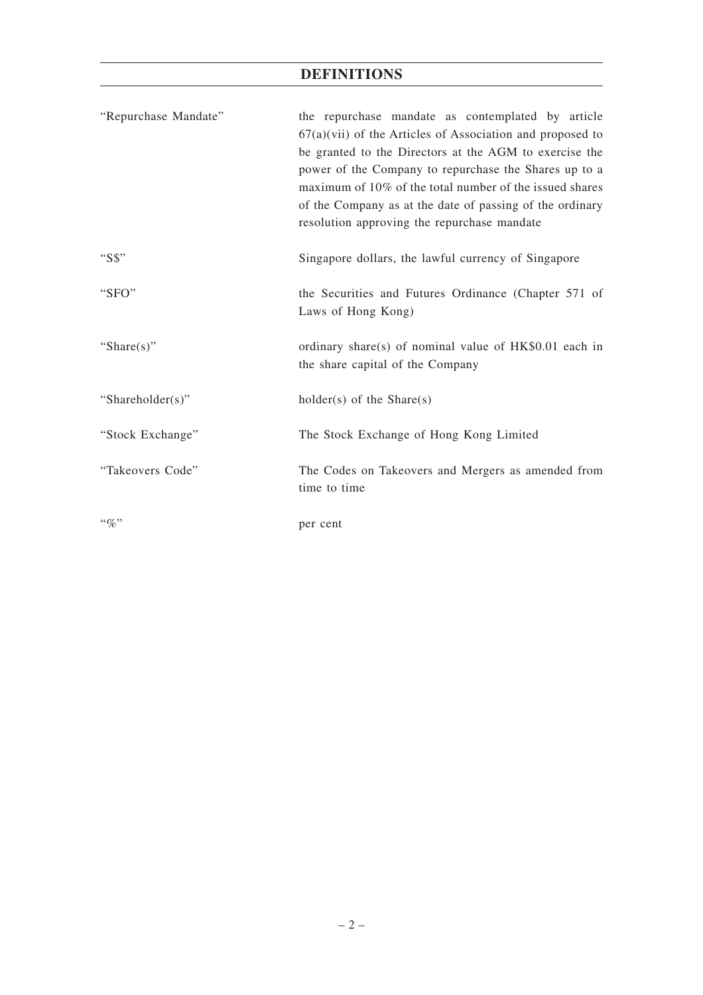# **DEFINITIONS**

| "Repurchase Mandate" | the repurchase mandate as contemplated by article<br>$67(a)(vii)$ of the Articles of Association and proposed to<br>be granted to the Directors at the AGM to exercise the<br>power of the Company to repurchase the Shares up to a<br>maximum of 10% of the total number of the issued shares<br>of the Company as at the date of passing of the ordinary<br>resolution approving the repurchase mandate |
|----------------------|-----------------------------------------------------------------------------------------------------------------------------------------------------------------------------------------------------------------------------------------------------------------------------------------------------------------------------------------------------------------------------------------------------------|
| "S\$"                | Singapore dollars, the lawful currency of Singapore                                                                                                                                                                                                                                                                                                                                                       |
| "SFO"                | the Securities and Futures Ordinance (Chapter 571 of<br>Laws of Hong Kong)                                                                                                                                                                                                                                                                                                                                |
| "Share $(s)$ "       | ordinary share(s) of nominal value of HK\$0.01 each in<br>the share capital of the Company                                                                                                                                                                                                                                                                                                                |
| "Shareholder(s)"     | $holder(s)$ of the Share $(s)$                                                                                                                                                                                                                                                                                                                                                                            |
| "Stock Exchange"     | The Stock Exchange of Hong Kong Limited                                                                                                                                                                                                                                                                                                                                                                   |
| "Takeovers Code"     | The Codes on Takeovers and Mergers as amended from<br>time to time                                                                                                                                                                                                                                                                                                                                        |
| $``q_0"$             | per cent                                                                                                                                                                                                                                                                                                                                                                                                  |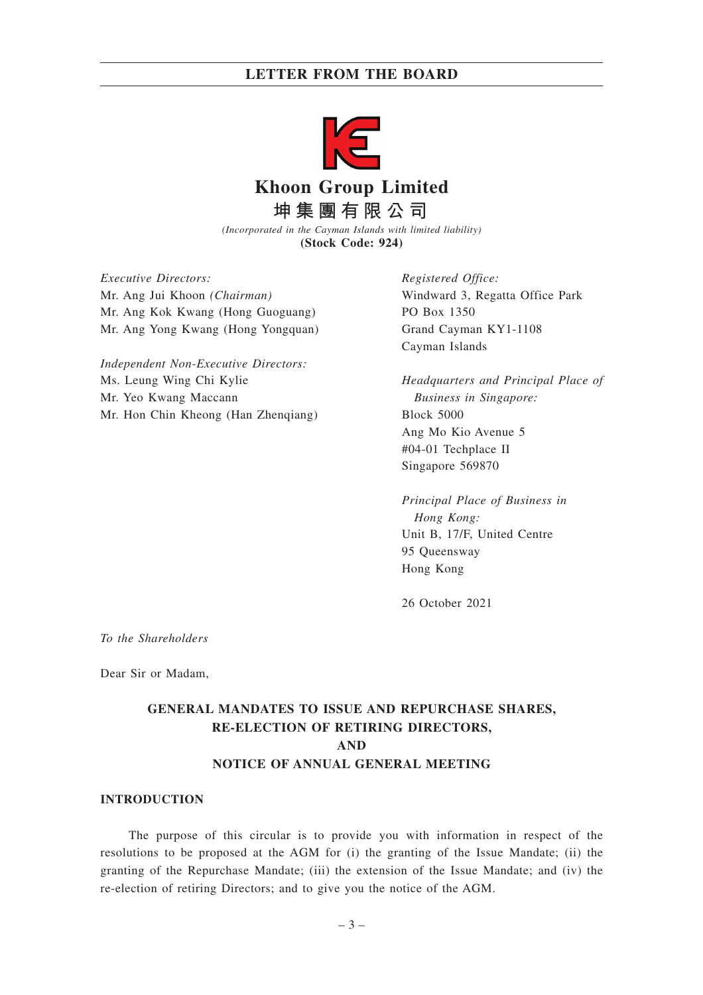

*(Incorporated in the Cayman Islands with limited liability)* **(Stock Code: 924)**

*Executive Directors:* Mr. Ang Jui Khoon *(Chairman)* Mr. Ang Kok Kwang (Hong Guoguang) Mr. Ang Yong Kwang (Hong Yongquan)

*Independent Non-Executive Directors:* Ms. Leung Wing Chi Kylie Mr. Yeo Kwang Maccann Mr. Hon Chin Kheong (Han Zhenqiang)

*Registered Office:* Windward 3, Regatta Office Park PO Box 1350 Grand Cayman KY1-1108 Cayman Islands

*Headquarters and Principal Place of Business in Singapore:* Block 5000 Ang Mo Kio Avenue 5 #04-01 Techplace II Singapore 569870

*Principal Place of Business in Hong Kong:* Unit B, 17/F, United Centre 95 Queensway Hong Kong

26 October 2021

*To the Shareholders*

Dear Sir or Madam,

# **GENERAL MANDATES TO ISSUE AND REPURCHASE SHARES, RE-ELECTION OF RETIRING DIRECTORS, AND NOTICE OF ANNUAL GENERAL MEETING**

### **INTRODUCTION**

The purpose of this circular is to provide you with information in respect of the resolutions to be proposed at the AGM for (i) the granting of the Issue Mandate; (ii) the granting of the Repurchase Mandate; (iii) the extension of the Issue Mandate; and (iv) the re-election of retiring Directors; and to give you the notice of the AGM.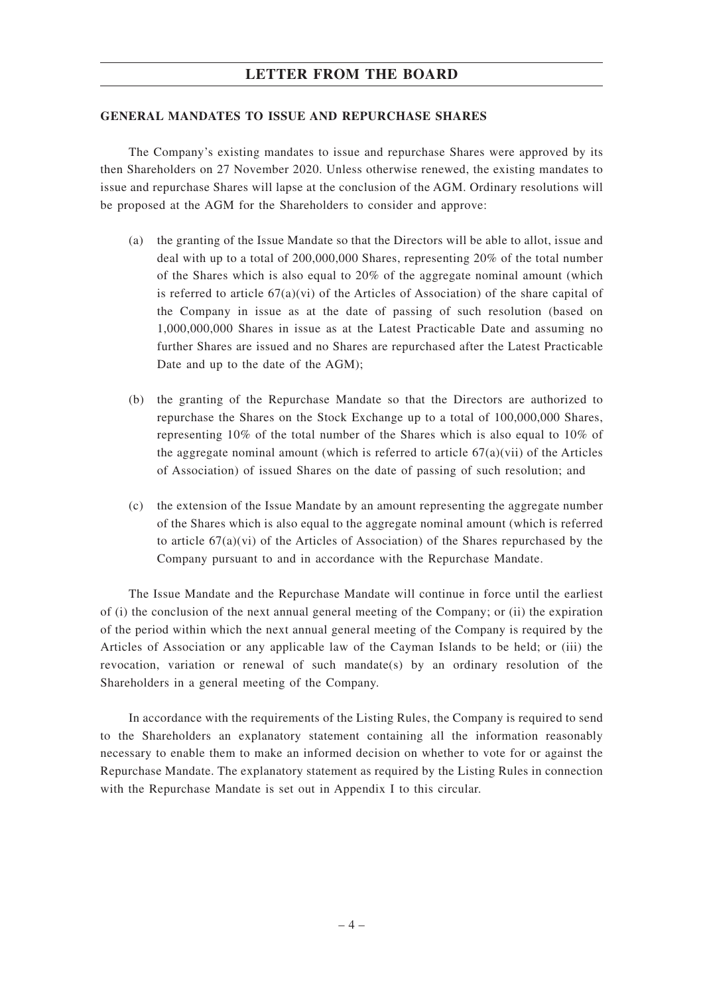#### **GENERAL MANDATES TO ISSUE AND REPURCHASE SHARES**

The Company's existing mandates to issue and repurchase Shares were approved by its then Shareholders on 27 November 2020. Unless otherwise renewed, the existing mandates to issue and repurchase Shares will lapse at the conclusion of the AGM. Ordinary resolutions will be proposed at the AGM for the Shareholders to consider and approve:

- (a) the granting of the Issue Mandate so that the Directors will be able to allot, issue and deal with up to a total of 200,000,000 Shares, representing 20% of the total number of the Shares which is also equal to 20% of the aggregate nominal amount (which is referred to article  $67(a)(vi)$  of the Articles of Association) of the share capital of the Company in issue as at the date of passing of such resolution (based on 1,000,000,000 Shares in issue as at the Latest Practicable Date and assuming no further Shares are issued and no Shares are repurchased after the Latest Practicable Date and up to the date of the AGM);
- (b) the granting of the Repurchase Mandate so that the Directors are authorized to repurchase the Shares on the Stock Exchange up to a total of 100,000,000 Shares, representing 10% of the total number of the Shares which is also equal to 10% of the aggregate nominal amount (which is referred to article  $67(a)(vii)$  of the Articles of Association) of issued Shares on the date of passing of such resolution; and
- (c) the extension of the Issue Mandate by an amount representing the aggregate number of the Shares which is also equal to the aggregate nominal amount (which is referred to article  $67(a)(vi)$  of the Articles of Association) of the Shares repurchased by the Company pursuant to and in accordance with the Repurchase Mandate.

The Issue Mandate and the Repurchase Mandate will continue in force until the earliest of (i) the conclusion of the next annual general meeting of the Company; or (ii) the expiration of the period within which the next annual general meeting of the Company is required by the Articles of Association or any applicable law of the Cayman Islands to be held; or (iii) the revocation, variation or renewal of such mandate(s) by an ordinary resolution of the Shareholders in a general meeting of the Company.

In accordance with the requirements of the Listing Rules, the Company is required to send to the Shareholders an explanatory statement containing all the information reasonably necessary to enable them to make an informed decision on whether to vote for or against the Repurchase Mandate. The explanatory statement as required by the Listing Rules in connection with the Repurchase Mandate is set out in Appendix I to this circular.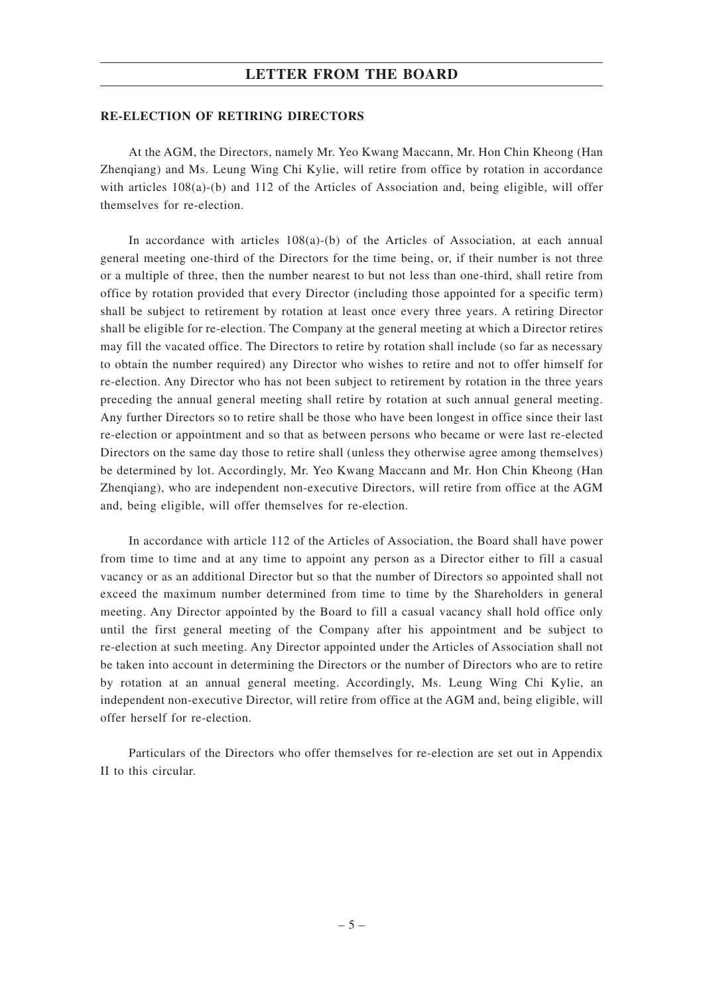#### **RE-ELECTION OF RETIRING DIRECTORS**

At the AGM, the Directors, namely Mr. Yeo Kwang Maccann, Mr. Hon Chin Kheong (Han Zhenqiang) and Ms. Leung Wing Chi Kylie, will retire from office by rotation in accordance with articles 108(a)-(b) and 112 of the Articles of Association and, being eligible, will offer themselves for re-election.

In accordance with articles 108(a)-(b) of the Articles of Association, at each annual general meeting one-third of the Directors for the time being, or, if their number is not three or a multiple of three, then the number nearest to but not less than one-third, shall retire from office by rotation provided that every Director (including those appointed for a specific term) shall be subject to retirement by rotation at least once every three years. A retiring Director shall be eligible for re-election. The Company at the general meeting at which a Director retires may fill the vacated office. The Directors to retire by rotation shall include (so far as necessary to obtain the number required) any Director who wishes to retire and not to offer himself for re-election. Any Director who has not been subject to retirement by rotation in the three years preceding the annual general meeting shall retire by rotation at such annual general meeting. Any further Directors so to retire shall be those who have been longest in office since their last re-election or appointment and so that as between persons who became or were last re-elected Directors on the same day those to retire shall (unless they otherwise agree among themselves) be determined by lot. Accordingly, Mr. Yeo Kwang Maccann and Mr. Hon Chin Kheong (Han Zhenqiang), who are independent non-executive Directors, will retire from office at the AGM and, being eligible, will offer themselves for re-election.

In accordance with article 112 of the Articles of Association, the Board shall have power from time to time and at any time to appoint any person as a Director either to fill a casual vacancy or as an additional Director but so that the number of Directors so appointed shall not exceed the maximum number determined from time to time by the Shareholders in general meeting. Any Director appointed by the Board to fill a casual vacancy shall hold office only until the first general meeting of the Company after his appointment and be subject to re-election at such meeting. Any Director appointed under the Articles of Association shall not be taken into account in determining the Directors or the number of Directors who are to retire by rotation at an annual general meeting. Accordingly, Ms. Leung Wing Chi Kylie, an independent non-executive Director, will retire from office at the AGM and, being eligible, will offer herself for re-election.

Particulars of the Directors who offer themselves for re-election are set out in Appendix II to this circular.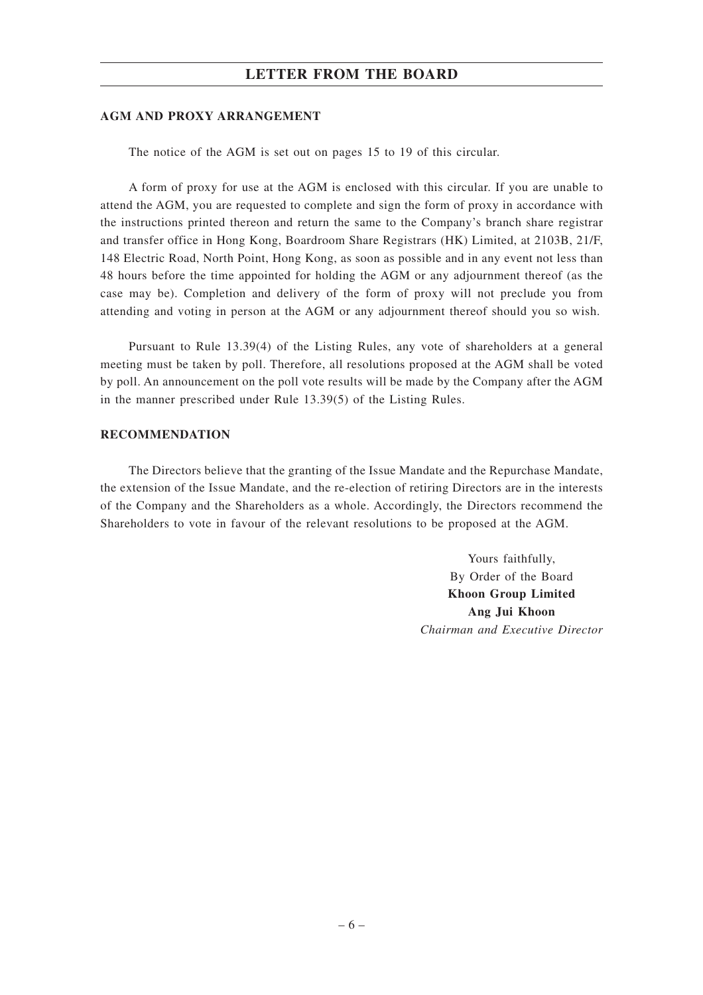#### **AGM AND PROXY ARRANGEMENT**

The notice of the AGM is set out on pages 15 to 19 of this circular.

A form of proxy for use at the AGM is enclosed with this circular. If you are unable to attend the AGM, you are requested to complete and sign the form of proxy in accordance with the instructions printed thereon and return the same to the Company's branch share registrar and transfer office in Hong Kong, Boardroom Share Registrars (HK) Limited, at 2103B, 21/F, 148 Electric Road, North Point, Hong Kong, as soon as possible and in any event not less than 48 hours before the time appointed for holding the AGM or any adjournment thereof (as the case may be). Completion and delivery of the form of proxy will not preclude you from attending and voting in person at the AGM or any adjournment thereof should you so wish.

Pursuant to Rule 13.39(4) of the Listing Rules, any vote of shareholders at a general meeting must be taken by poll. Therefore, all resolutions proposed at the AGM shall be voted by poll. An announcement on the poll vote results will be made by the Company after the AGM in the manner prescribed under Rule 13.39(5) of the Listing Rules.

#### **RECOMMENDATION**

The Directors believe that the granting of the Issue Mandate and the Repurchase Mandate, the extension of the Issue Mandate, and the re-election of retiring Directors are in the interests of the Company and the Shareholders as a whole. Accordingly, the Directors recommend the Shareholders to vote in favour of the relevant resolutions to be proposed at the AGM.

> Yours faithfully, By Order of the Board **Khoon Group Limited Ang Jui Khoon** *Chairman and Executive Director*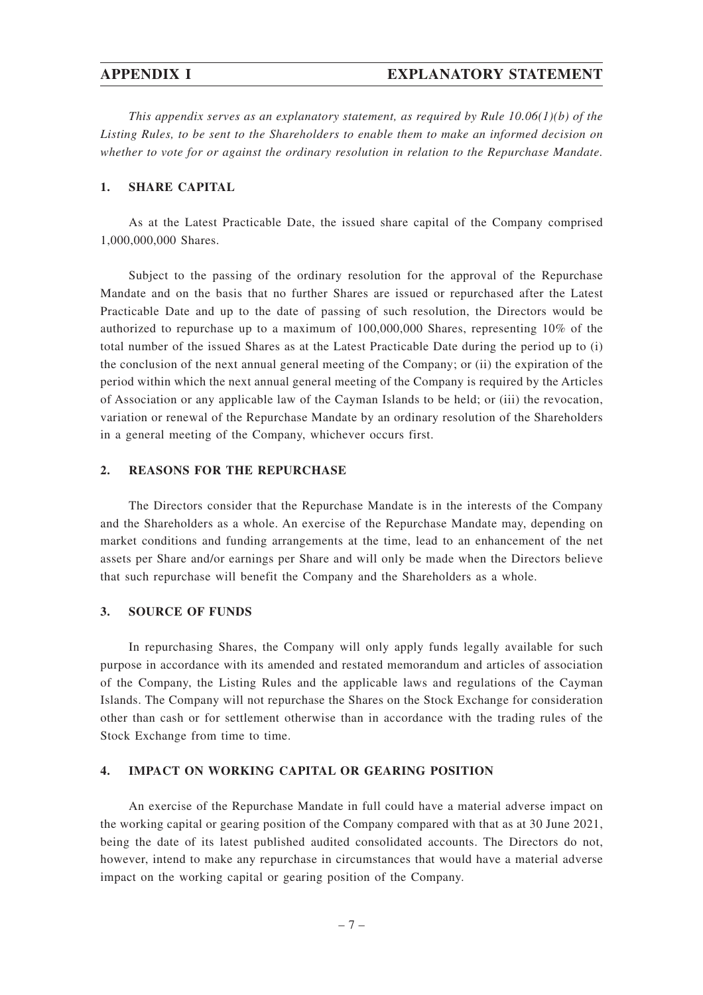*This appendix serves as an explanatory statement, as required by Rule 10.06(1)(b) of the Listing Rules, to be sent to the Shareholders to enable them to make an informed decision on whether to vote for or against the ordinary resolution in relation to the Repurchase Mandate.*

#### **1. SHARE CAPITAL**

As at the Latest Practicable Date, the issued share capital of the Company comprised 1,000,000,000 Shares.

Subject to the passing of the ordinary resolution for the approval of the Repurchase Mandate and on the basis that no further Shares are issued or repurchased after the Latest Practicable Date and up to the date of passing of such resolution, the Directors would be authorized to repurchase up to a maximum of 100,000,000 Shares, representing 10% of the total number of the issued Shares as at the Latest Practicable Date during the period up to (i) the conclusion of the next annual general meeting of the Company; or (ii) the expiration of the period within which the next annual general meeting of the Company is required by the Articles of Association or any applicable law of the Cayman Islands to be held; or (iii) the revocation, variation or renewal of the Repurchase Mandate by an ordinary resolution of the Shareholders in a general meeting of the Company, whichever occurs first.

### **2. REASONS FOR THE REPURCHASE**

The Directors consider that the Repurchase Mandate is in the interests of the Company and the Shareholders as a whole. An exercise of the Repurchase Mandate may, depending on market conditions and funding arrangements at the time, lead to an enhancement of the net assets per Share and/or earnings per Share and will only be made when the Directors believe that such repurchase will benefit the Company and the Shareholders as a whole.

### **3. SOURCE OF FUNDS**

In repurchasing Shares, the Company will only apply funds legally available for such purpose in accordance with its amended and restated memorandum and articles of association of the Company, the Listing Rules and the applicable laws and regulations of the Cayman Islands. The Company will not repurchase the Shares on the Stock Exchange for consideration other than cash or for settlement otherwise than in accordance with the trading rules of the Stock Exchange from time to time.

#### **4. IMPACT ON WORKING CAPITAL OR GEARING POSITION**

An exercise of the Repurchase Mandate in full could have a material adverse impact on the working capital or gearing position of the Company compared with that as at 30 June 2021, being the date of its latest published audited consolidated accounts. The Directors do not, however, intend to make any repurchase in circumstances that would have a material adverse impact on the working capital or gearing position of the Company.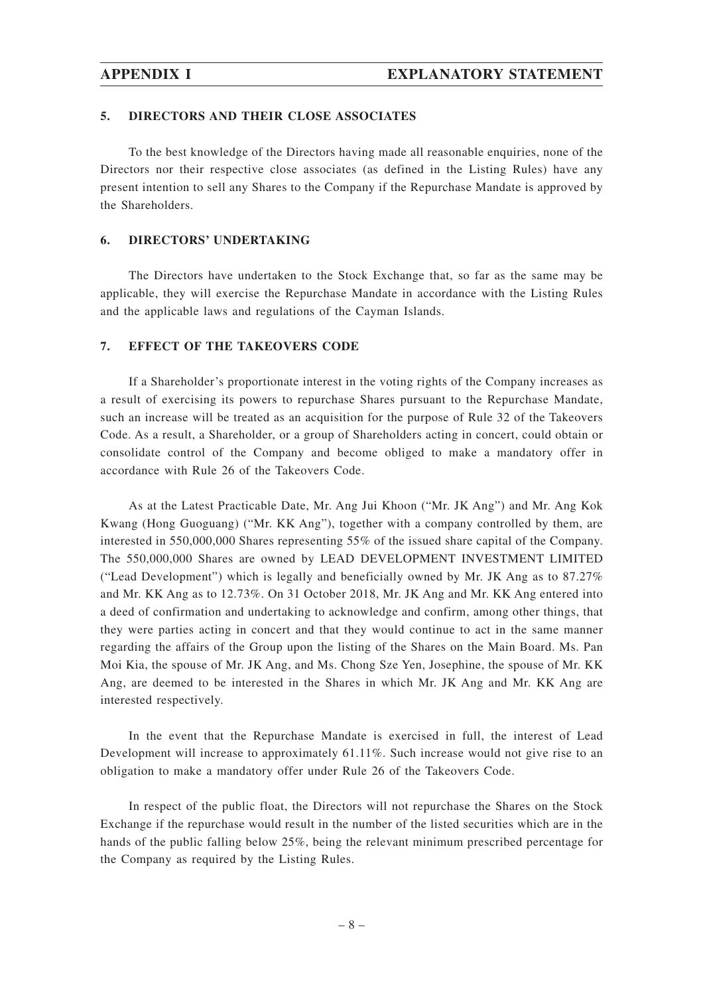#### **5. DIRECTORS AND THEIR CLOSE ASSOCIATES**

To the best knowledge of the Directors having made all reasonable enquiries, none of the Directors nor their respective close associates (as defined in the Listing Rules) have any present intention to sell any Shares to the Company if the Repurchase Mandate is approved by the Shareholders.

#### **6. DIRECTORS' UNDERTAKING**

The Directors have undertaken to the Stock Exchange that, so far as the same may be applicable, they will exercise the Repurchase Mandate in accordance with the Listing Rules and the applicable laws and regulations of the Cayman Islands.

#### **7. EFFECT OF THE TAKEOVERS CODE**

If a Shareholder's proportionate interest in the voting rights of the Company increases as a result of exercising its powers to repurchase Shares pursuant to the Repurchase Mandate, such an increase will be treated as an acquisition for the purpose of Rule 32 of the Takeovers Code. As a result, a Shareholder, or a group of Shareholders acting in concert, could obtain or consolidate control of the Company and become obliged to make a mandatory offer in accordance with Rule 26 of the Takeovers Code.

As at the Latest Practicable Date, Mr. Ang Jui Khoon ("Mr. JK Ang") and Mr. Ang Kok Kwang (Hong Guoguang) ("Mr. KK Ang"), together with a company controlled by them, are interested in 550,000,000 Shares representing 55% of the issued share capital of the Company. The 550,000,000 Shares are owned by LEAD DEVELOPMENT INVESTMENT LIMITED ("Lead Development") which is legally and beneficially owned by Mr. JK Ang as to  $87.27\%$ and Mr. KK Ang as to 12.73%. On 31 October 2018, Mr. JK Ang and Mr. KK Ang entered into a deed of confirmation and undertaking to acknowledge and confirm, among other things, that they were parties acting in concert and that they would continue to act in the same manner regarding the affairs of the Group upon the listing of the Shares on the Main Board. Ms. Pan Moi Kia, the spouse of Mr. JK Ang, and Ms. Chong Sze Yen, Josephine, the spouse of Mr. KK Ang, are deemed to be interested in the Shares in which Mr. JK Ang and Mr. KK Ang are interested respectively.

In the event that the Repurchase Mandate is exercised in full, the interest of Lead Development will increase to approximately 61.11%. Such increase would not give rise to an obligation to make a mandatory offer under Rule 26 of the Takeovers Code.

In respect of the public float, the Directors will not repurchase the Shares on the Stock Exchange if the repurchase would result in the number of the listed securities which are in the hands of the public falling below 25%, being the relevant minimum prescribed percentage for the Company as required by the Listing Rules.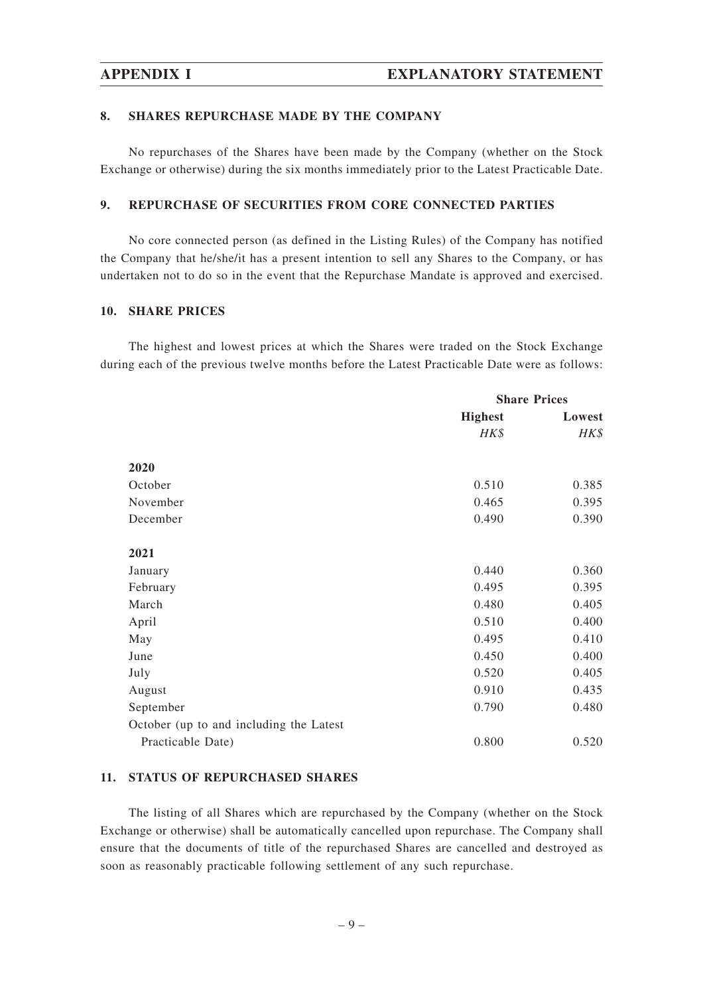#### **8. SHARES REPURCHASE MADE BY THE COMPANY**

No repurchases of the Shares have been made by the Company (whether on the Stock Exchange or otherwise) during the six months immediately prior to the Latest Practicable Date.

### **9. REPURCHASE OF SECURITIES FROM CORE CONNECTED PARTIES**

No core connected person (as defined in the Listing Rules) of the Company has notified the Company that he/she/it has a present intention to sell any Shares to the Company, or has undertaken not to do so in the event that the Repurchase Mandate is approved and exercised.

#### **10. SHARE PRICES**

The highest and lowest prices at which the Shares were traded on the Stock Exchange during each of the previous twelve months before the Latest Practicable Date were as follows:

|                                         | <b>Share Prices</b> |        |
|-----------------------------------------|---------------------|--------|
|                                         | <b>Highest</b>      | Lowest |
|                                         | HK\$                | HK\$   |
| 2020                                    |                     |        |
| October                                 | 0.510               | 0.385  |
| November                                | 0.465               | 0.395  |
| December                                | 0.490               | 0.390  |
| 2021                                    |                     |        |
| January                                 | 0.440               | 0.360  |
| February                                | 0.495               | 0.395  |
| March                                   | 0.480               | 0.405  |
| April                                   | 0.510               | 0.400  |
| May                                     | 0.495               | 0.410  |
| June                                    | 0.450               | 0.400  |
| July                                    | 0.520               | 0.405  |
| August                                  | 0.910               | 0.435  |
| September                               | 0.790               | 0.480  |
| October (up to and including the Latest |                     |        |
| Practicable Date)                       | 0.800               | 0.520  |

#### **11. STATUS OF REPURCHASED SHARES**

The listing of all Shares which are repurchased by the Company (whether on the Stock Exchange or otherwise) shall be automatically cancelled upon repurchase. The Company shall ensure that the documents of title of the repurchased Shares are cancelled and destroyed as soon as reasonably practicable following settlement of any such repurchase.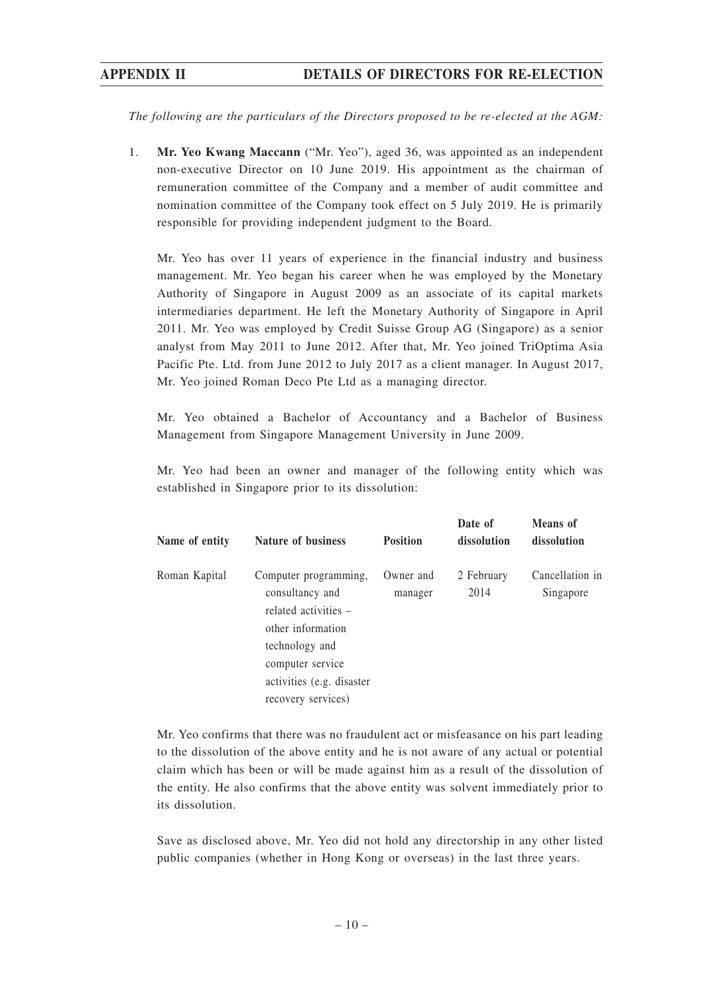*The following are the particulars of the Directors proposed to be re-elected at the AGM:*

1. **Mr. Yeo Kwang Maccann** ("Mr. Yeo"), aged 36, was appointed as an independent non-executive Director on 10 June 2019. His appointment as the chairman of remuneration committee of the Company and a member of audit committee and nomination committee of the Company took effect on 5 July 2019. He is primarily responsible for providing independent judgment to the Board.

Mr. Yeo has over 11 years of experience in the financial industry and business management. Mr. Yeo began his career when he was employed by the Monetary Authority of Singapore in August 2009 as an associate of its capital markets intermediaries department. He left the Monetary Authority of Singapore in April 2011. Mr. Yeo was employed by Credit Suisse Group AG (Singapore) as a senior analyst from May 2011 to June 2012. After that, Mr. Yeo joined TriOptima Asia Pacific Pte. Ltd. from June 2012 to July 2017 as a client manager. In August 2017, Mr. Yeo joined Roman Deco Pte Ltd as a managing director.

Mr. Yeo obtained a Bachelor of Accountancy and a Bachelor of Business Management from Singapore Management University in June 2009.

Mr. Yeo had been an owner and manager of the following entity which was established in Singapore prior to its dissolution:

| Name of entity | <b>Nature of business</b>                                                                                                                                | <b>Position</b>      | Date of<br>dissolution | <b>Means</b> of<br>dissolution |
|----------------|----------------------------------------------------------------------------------------------------------------------------------------------------------|----------------------|------------------------|--------------------------------|
| Roman Kapital  | Computer programming,<br>consultancy and<br>related activities –<br>other information<br>technology and<br>computer service<br>activities (e.g. disaster | Owner and<br>manager | 2 February<br>2014     | Cancellation in<br>Singapore   |
|                | recovery services)                                                                                                                                       |                      |                        |                                |

Mr. Yeo confirms that there was no fraudulent act or misfeasance on his part leading to the dissolution of the above entity and he is not aware of any actual or potential claim which has been or will be made against him as a result of the dissolution of the entity. He also confirms that the above entity was solvent immediately prior to its dissolution.

Save as disclosed above, Mr. Yeo did not hold any directorship in any other listed public companies (whether in Hong Kong or overseas) in the last three years.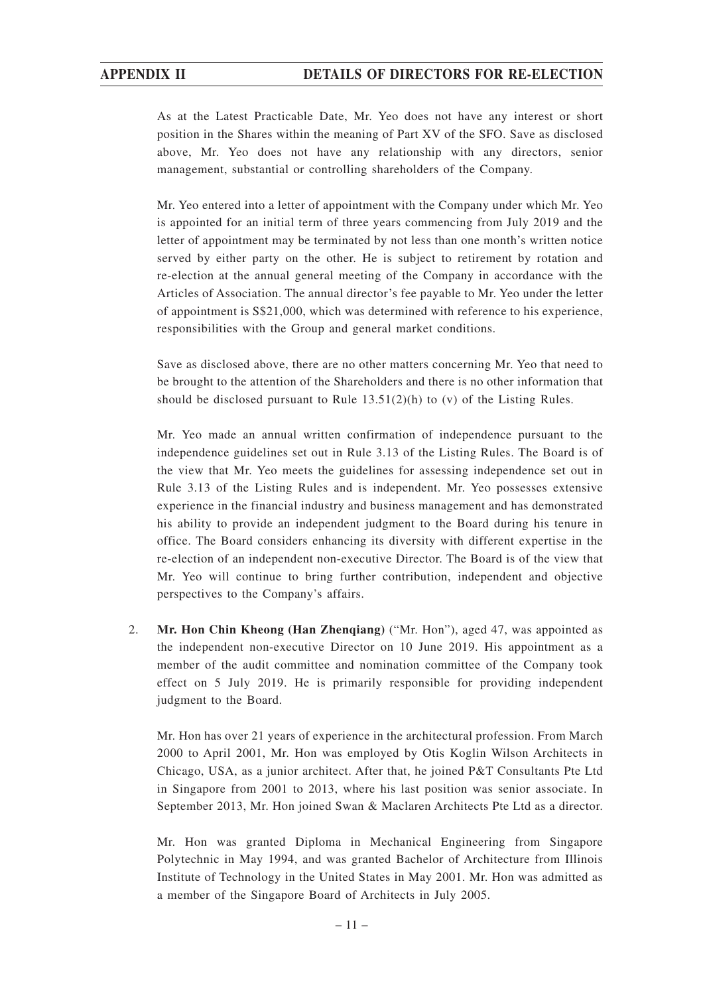As at the Latest Practicable Date, Mr. Yeo does not have any interest or short position in the Shares within the meaning of Part XV of the SFO. Save as disclosed above, Mr. Yeo does not have any relationship with any directors, senior management, substantial or controlling shareholders of the Company.

Mr. Yeo entered into a letter of appointment with the Company under which Mr. Yeo is appointed for an initial term of three years commencing from July 2019 and the letter of appointment may be terminated by not less than one month's written notice served by either party on the other. He is subject to retirement by rotation and re-election at the annual general meeting of the Company in accordance with the Articles of Association. The annual director's fee payable to Mr. Yeo under the letter of appointment is S\$21,000, which was determined with reference to his experience, responsibilities with the Group and general market conditions.

Save as disclosed above, there are no other matters concerning Mr. Yeo that need to be brought to the attention of the Shareholders and there is no other information that should be disclosed pursuant to Rule  $13.51(2)(h)$  to (v) of the Listing Rules.

Mr. Yeo made an annual written confirmation of independence pursuant to the independence guidelines set out in Rule 3.13 of the Listing Rules. The Board is of the view that Mr. Yeo meets the guidelines for assessing independence set out in Rule 3.13 of the Listing Rules and is independent. Mr. Yeo possesses extensive experience in the financial industry and business management and has demonstrated his ability to provide an independent judgment to the Board during his tenure in office. The Board considers enhancing its diversity with different expertise in the re-election of an independent non-executive Director. The Board is of the view that Mr. Yeo will continue to bring further contribution, independent and objective perspectives to the Company's affairs.

2. **Mr. Hon Chin Kheong (Han Zhenqiang)** ("Mr. Hon"), aged 47, was appointed as the independent non-executive Director on 10 June 2019. His appointment as a member of the audit committee and nomination committee of the Company took effect on 5 July 2019. He is primarily responsible for providing independent judgment to the Board.

Mr. Hon has over 21 years of experience in the architectural profession. From March 2000 to April 2001, Mr. Hon was employed by Otis Koglin Wilson Architects in Chicago, USA, as a junior architect. After that, he joined P&T Consultants Pte Ltd in Singapore from 2001 to 2013, where his last position was senior associate. In September 2013, Mr. Hon joined Swan & Maclaren Architects Pte Ltd as a director.

Mr. Hon was granted Diploma in Mechanical Engineering from Singapore Polytechnic in May 1994, and was granted Bachelor of Architecture from Illinois Institute of Technology in the United States in May 2001. Mr. Hon was admitted as a member of the Singapore Board of Architects in July 2005.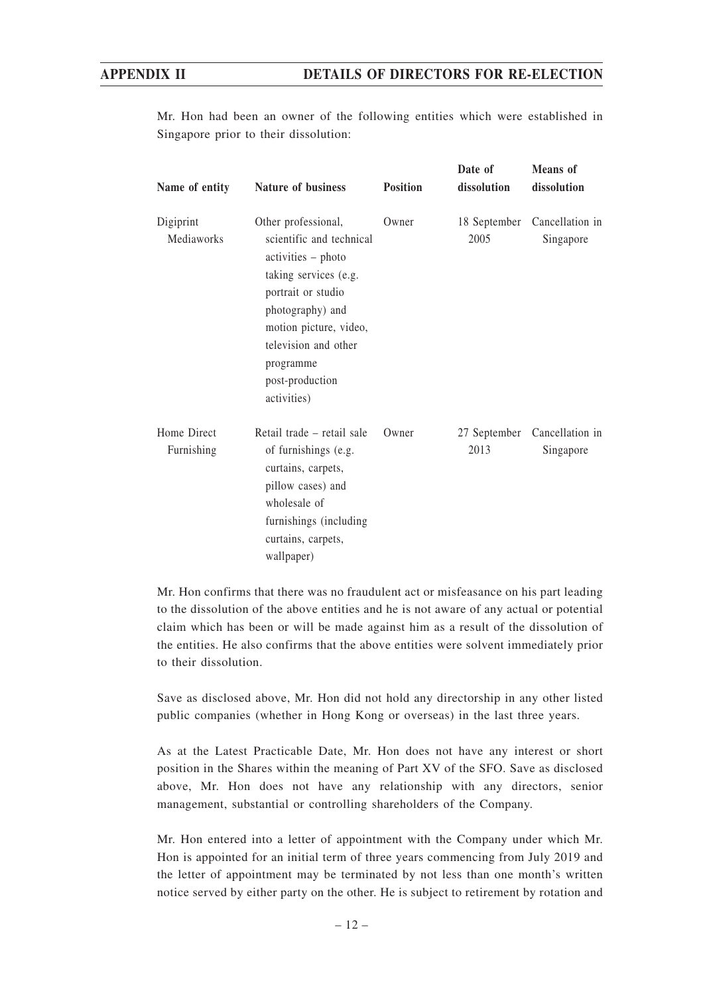Mr. Hon had been an owner of the following entities which were established in Singapore prior to their dissolution:

| Name of entity            | <b>Nature of business</b>                                                                                                                                                                                                                 | <b>Position</b> | Date of<br>dissolution | <b>Means</b> of<br>dissolution            |
|---------------------------|-------------------------------------------------------------------------------------------------------------------------------------------------------------------------------------------------------------------------------------------|-----------------|------------------------|-------------------------------------------|
| Digiprint<br>Mediaworks   | Other professional,<br>scientific and technical<br>activities – photo<br>taking services (e.g.<br>portrait or studio<br>photography) and<br>motion picture, video,<br>television and other<br>programme<br>post-production<br>activities) | Owner           | 2005                   | 18 September Cancellation in<br>Singapore |
| Home Direct<br>Furnishing | Retail trade – retail sale<br>of furnishings (e.g.<br>curtains, carpets,<br>pillow cases) and<br>wholesale of<br>furnishings (including<br>curtains, carpets,<br>wallpaper)                                                               | Owner           | 27 September<br>2013   | Cancellation in<br>Singapore              |

Mr. Hon confirms that there was no fraudulent act or misfeasance on his part leading to the dissolution of the above entities and he is not aware of any actual or potential claim which has been or will be made against him as a result of the dissolution of the entities. He also confirms that the above entities were solvent immediately prior to their dissolution.

Save as disclosed above, Mr. Hon did not hold any directorship in any other listed public companies (whether in Hong Kong or overseas) in the last three years.

As at the Latest Practicable Date, Mr. Hon does not have any interest or short position in the Shares within the meaning of Part XV of the SFO. Save as disclosed above, Mr. Hon does not have any relationship with any directors, senior management, substantial or controlling shareholders of the Company.

Mr. Hon entered into a letter of appointment with the Company under which Mr. Hon is appointed for an initial term of three years commencing from July 2019 and the letter of appointment may be terminated by not less than one month's written notice served by either party on the other. He is subject to retirement by rotation and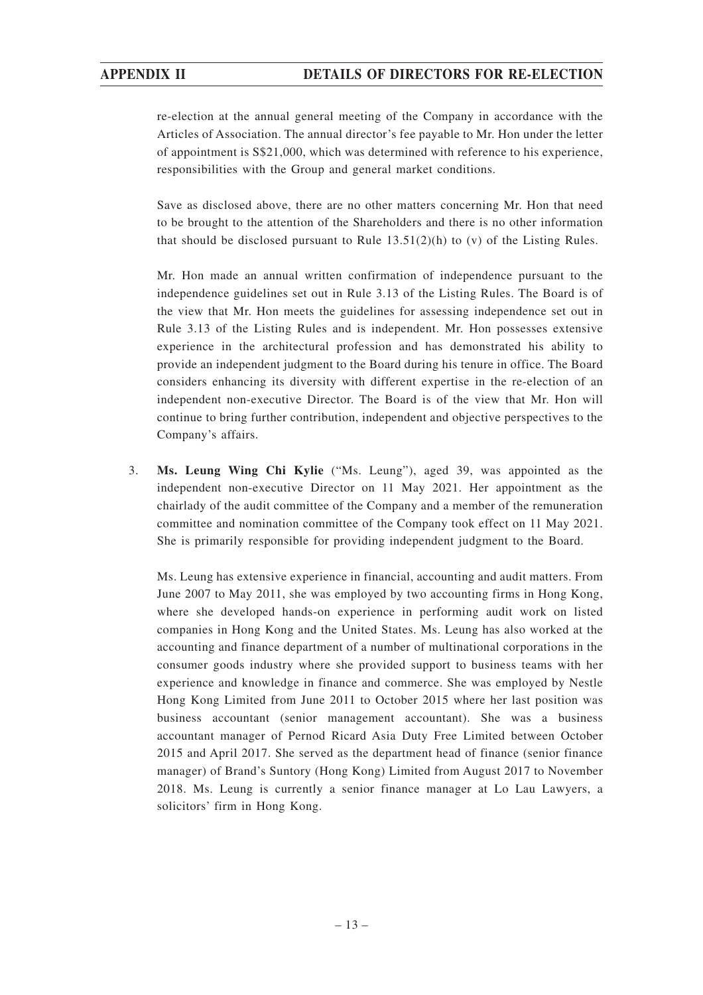re-election at the annual general meeting of the Company in accordance with the Articles of Association. The annual director's fee payable to Mr. Hon under the letter of appointment is S\$21,000, which was determined with reference to his experience, responsibilities with the Group and general market conditions.

Save as disclosed above, there are no other matters concerning Mr. Hon that need to be brought to the attention of the Shareholders and there is no other information that should be disclosed pursuant to Rule 13.51(2)(h) to (v) of the Listing Rules.

Mr. Hon made an annual written confirmation of independence pursuant to the independence guidelines set out in Rule 3.13 of the Listing Rules. The Board is of the view that Mr. Hon meets the guidelines for assessing independence set out in Rule 3.13 of the Listing Rules and is independent. Mr. Hon possesses extensive experience in the architectural profession and has demonstrated his ability to provide an independent judgment to the Board during his tenure in office. The Board considers enhancing its diversity with different expertise in the re-election of an independent non-executive Director. The Board is of the view that Mr. Hon will continue to bring further contribution, independent and objective perspectives to the Company's affairs.

3. **Ms. Leung Wing Chi Kylie** ("Ms. Leung"), aged 39, was appointed as the independent non-executive Director on 11 May 2021. Her appointment as the chairlady of the audit committee of the Company and a member of the remuneration committee and nomination committee of the Company took effect on 11 May 2021. She is primarily responsible for providing independent judgment to the Board.

Ms. Leung has extensive experience in financial, accounting and audit matters. From June 2007 to May 2011, she was employed by two accounting firms in Hong Kong, where she developed hands-on experience in performing audit work on listed companies in Hong Kong and the United States. Ms. Leung has also worked at the accounting and finance department of a number of multinational corporations in the consumer goods industry where she provided support to business teams with her experience and knowledge in finance and commerce. She was employed by Nestle Hong Kong Limited from June 2011 to October 2015 where her last position was business accountant (senior management accountant). She was a business accountant manager of Pernod Ricard Asia Duty Free Limited between October 2015 and April 2017. She served as the department head of finance (senior finance manager) of Brand's Suntory (Hong Kong) Limited from August 2017 to November 2018. Ms. Leung is currently a senior finance manager at Lo Lau Lawyers, a solicitors' firm in Hong Kong.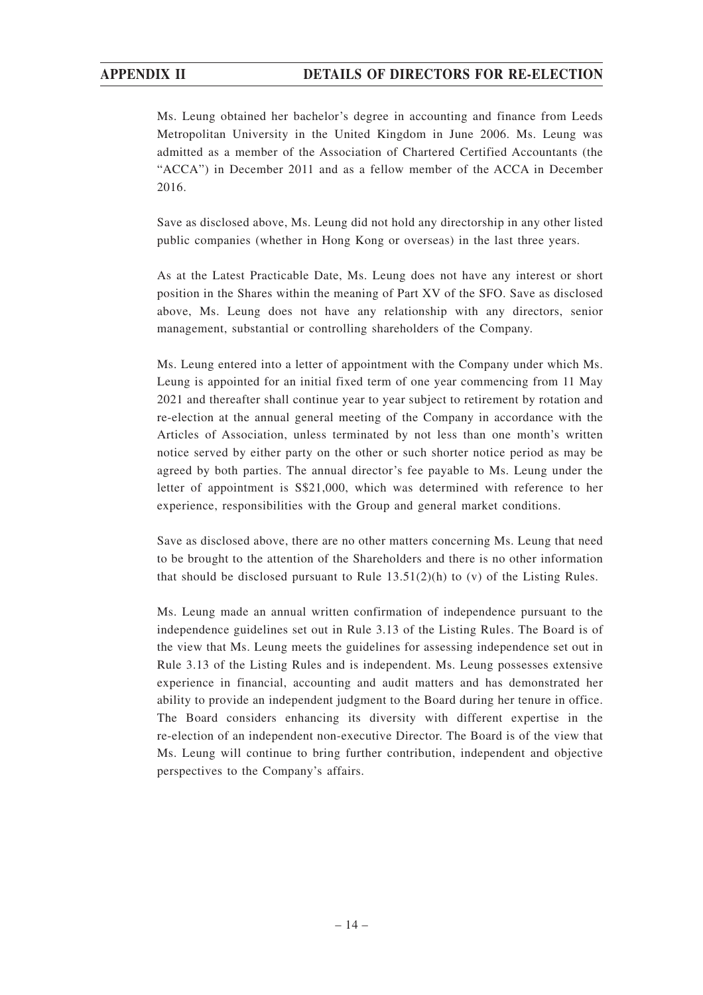Ms. Leung obtained her bachelor's degree in accounting and finance from Leeds Metropolitan University in the United Kingdom in June 2006. Ms. Leung was admitted as a member of the Association of Chartered Certified Accountants (the "ACCA") in December 2011 and as a fellow member of the ACCA in December 2016.

Save as disclosed above, Ms. Leung did not hold any directorship in any other listed public companies (whether in Hong Kong or overseas) in the last three years.

As at the Latest Practicable Date, Ms. Leung does not have any interest or short position in the Shares within the meaning of Part XV of the SFO. Save as disclosed above, Ms. Leung does not have any relationship with any directors, senior management, substantial or controlling shareholders of the Company.

Ms. Leung entered into a letter of appointment with the Company under which Ms. Leung is appointed for an initial fixed term of one year commencing from 11 May 2021 and thereafter shall continue year to year subject to retirement by rotation and re-election at the annual general meeting of the Company in accordance with the Articles of Association, unless terminated by not less than one month's written notice served by either party on the other or such shorter notice period as may be agreed by both parties. The annual director's fee payable to Ms. Leung under the letter of appointment is S\$21,000, which was determined with reference to her experience, responsibilities with the Group and general market conditions.

Save as disclosed above, there are no other matters concerning Ms. Leung that need to be brought to the attention of the Shareholders and there is no other information that should be disclosed pursuant to Rule 13.51(2)(h) to (v) of the Listing Rules.

Ms. Leung made an annual written confirmation of independence pursuant to the independence guidelines set out in Rule 3.13 of the Listing Rules. The Board is of the view that Ms. Leung meets the guidelines for assessing independence set out in Rule 3.13 of the Listing Rules and is independent. Ms. Leung possesses extensive experience in financial, accounting and audit matters and has demonstrated her ability to provide an independent judgment to the Board during her tenure in office. The Board considers enhancing its diversity with different expertise in the re-election of an independent non-executive Director. The Board is of the view that Ms. Leung will continue to bring further contribution, independent and objective perspectives to the Company's affairs.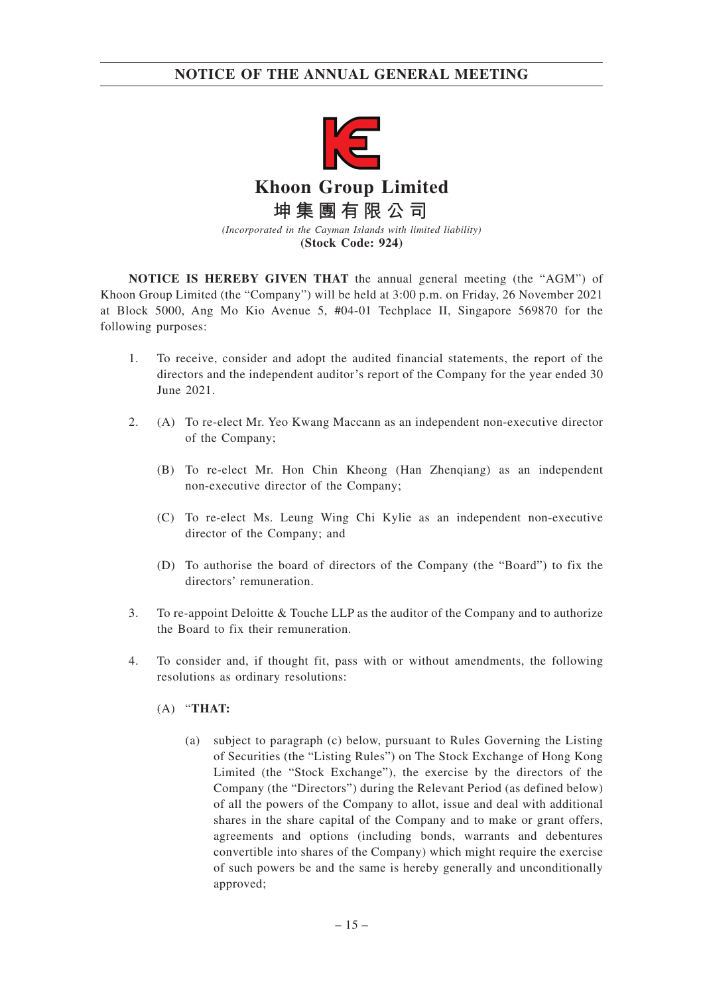

**(Stock Code: 924)**

**NOTICE IS HEREBY GIVEN THAT** the annual general meeting (the "AGM") of Khoon Group Limited (the "Company") will be held at 3:00 p.m. on Friday, 26 November 2021 at Block 5000, Ang Mo Kio Avenue 5, #04-01 Techplace II, Singapore 569870 for the following purposes:

- 1. To receive, consider and adopt the audited financial statements, the report of the directors and the independent auditor's report of the Company for the year ended 30 June 2021.
- 2. (A) To re-elect Mr. Yeo Kwang Maccann as an independent non-executive director of the Company;
	- (B) To re-elect Mr. Hon Chin Kheong (Han Zhenqiang) as an independent non-executive director of the Company;
	- (C) To re-elect Ms. Leung Wing Chi Kylie as an independent non-executive director of the Company; and
	- (D) To authorise the board of directors of the Company (the "Board") to fix the directors' remuneration.
- 3. To re-appoint Deloitte & Touche LLP as the auditor of the Company and to authorize the Board to fix their remuneration.
- 4. To consider and, if thought fit, pass with or without amendments, the following resolutions as ordinary resolutions:
	- (A) "**THAT:**
		- (a) subject to paragraph (c) below, pursuant to Rules Governing the Listing of Securities (the "Listing Rules") on The Stock Exchange of Hong Kong Limited (the "Stock Exchange"), the exercise by the directors of the Company (the "Directors") during the Relevant Period (as defined below) of all the powers of the Company to allot, issue and deal with additional shares in the share capital of the Company and to make or grant offers, agreements and options (including bonds, warrants and debentures convertible into shares of the Company) which might require the exercise of such powers be and the same is hereby generally and unconditionally approved;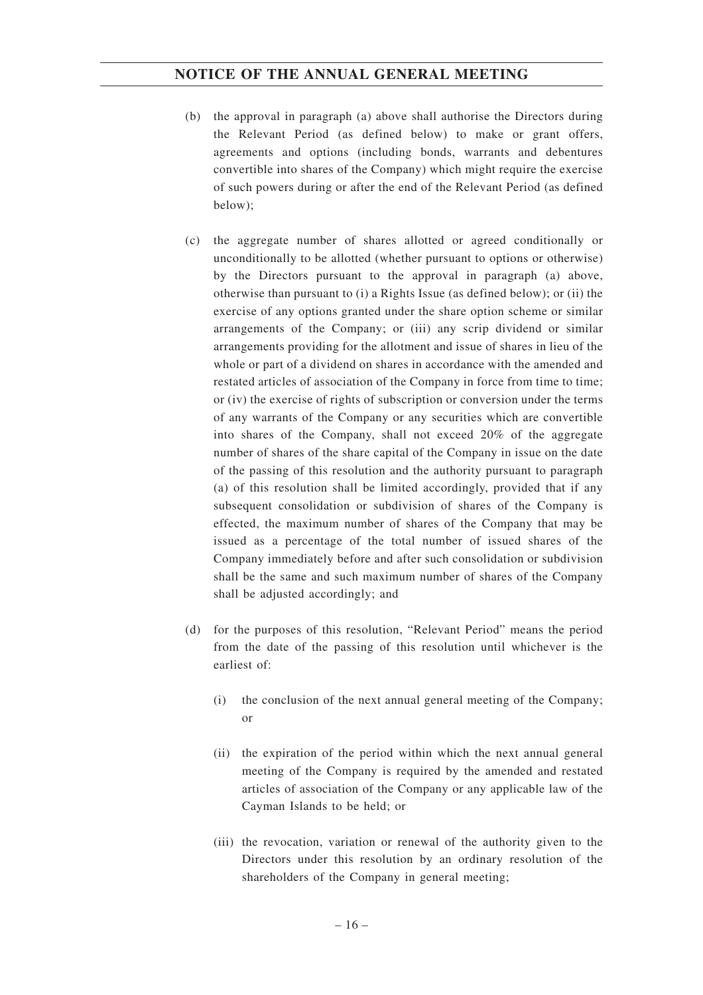- (b) the approval in paragraph (a) above shall authorise the Directors during the Relevant Period (as defined below) to make or grant offers, agreements and options (including bonds, warrants and debentures convertible into shares of the Company) which might require the exercise of such powers during or after the end of the Relevant Period (as defined below);
- (c) the aggregate number of shares allotted or agreed conditionally or unconditionally to be allotted (whether pursuant to options or otherwise) by the Directors pursuant to the approval in paragraph (a) above, otherwise than pursuant to (i) a Rights Issue (as defined below); or (ii) the exercise of any options granted under the share option scheme or similar arrangements of the Company; or (iii) any scrip dividend or similar arrangements providing for the allotment and issue of shares in lieu of the whole or part of a dividend on shares in accordance with the amended and restated articles of association of the Company in force from time to time; or (iv) the exercise of rights of subscription or conversion under the terms of any warrants of the Company or any securities which are convertible into shares of the Company, shall not exceed 20% of the aggregate number of shares of the share capital of the Company in issue on the date of the passing of this resolution and the authority pursuant to paragraph (a) of this resolution shall be limited accordingly, provided that if any subsequent consolidation or subdivision of shares of the Company is effected, the maximum number of shares of the Company that may be issued as a percentage of the total number of issued shares of the Company immediately before and after such consolidation or subdivision shall be the same and such maximum number of shares of the Company shall be adjusted accordingly; and
- (d) for the purposes of this resolution, "Relevant Period" means the period from the date of the passing of this resolution until whichever is the earliest of:
	- (i) the conclusion of the next annual general meeting of the Company; or
	- (ii) the expiration of the period within which the next annual general meeting of the Company is required by the amended and restated articles of association of the Company or any applicable law of the Cayman Islands to be held; or
	- (iii) the revocation, variation or renewal of the authority given to the Directors under this resolution by an ordinary resolution of the shareholders of the Company in general meeting;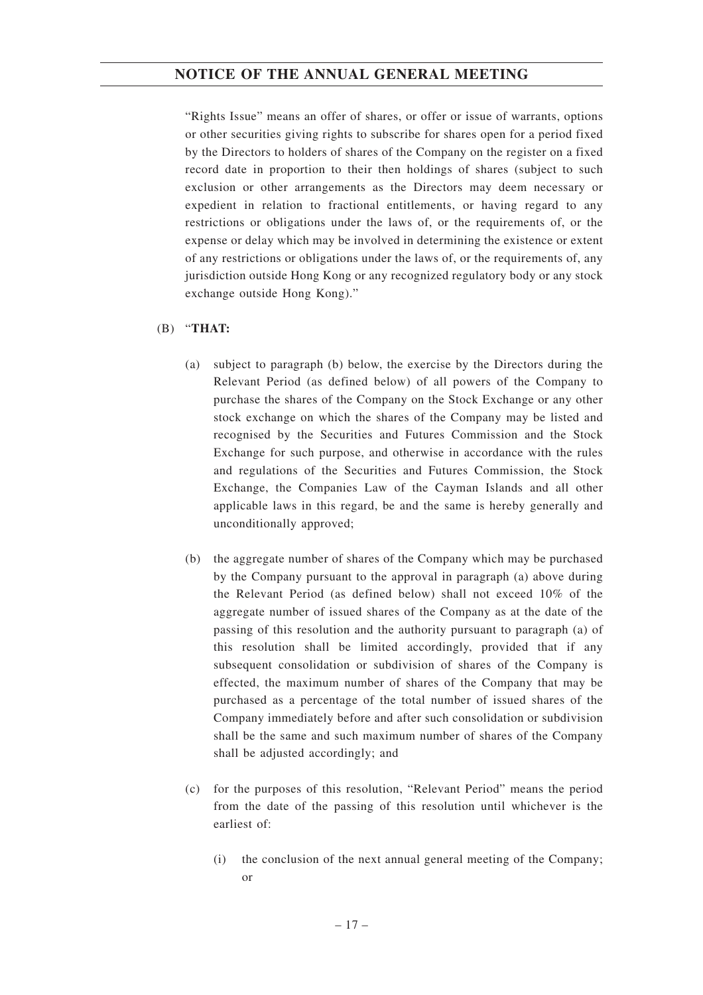"Rights Issue" means an offer of shares, or offer or issue of warrants, options or other securities giving rights to subscribe for shares open for a period fixed by the Directors to holders of shares of the Company on the register on a fixed record date in proportion to their then holdings of shares (subject to such exclusion or other arrangements as the Directors may deem necessary or expedient in relation to fractional entitlements, or having regard to any restrictions or obligations under the laws of, or the requirements of, or the expense or delay which may be involved in determining the existence or extent of any restrictions or obligations under the laws of, or the requirements of, any jurisdiction outside Hong Kong or any recognized regulatory body or any stock exchange outside Hong Kong)."

### (B) "**THAT:**

- (a) subject to paragraph (b) below, the exercise by the Directors during the Relevant Period (as defined below) of all powers of the Company to purchase the shares of the Company on the Stock Exchange or any other stock exchange on which the shares of the Company may be listed and recognised by the Securities and Futures Commission and the Stock Exchange for such purpose, and otherwise in accordance with the rules and regulations of the Securities and Futures Commission, the Stock Exchange, the Companies Law of the Cayman Islands and all other applicable laws in this regard, be and the same is hereby generally and unconditionally approved;
- (b) the aggregate number of shares of the Company which may be purchased by the Company pursuant to the approval in paragraph (a) above during the Relevant Period (as defined below) shall not exceed 10% of the aggregate number of issued shares of the Company as at the date of the passing of this resolution and the authority pursuant to paragraph (a) of this resolution shall be limited accordingly, provided that if any subsequent consolidation or subdivision of shares of the Company is effected, the maximum number of shares of the Company that may be purchased as a percentage of the total number of issued shares of the Company immediately before and after such consolidation or subdivision shall be the same and such maximum number of shares of the Company shall be adjusted accordingly; and
- (c) for the purposes of this resolution, "Relevant Period" means the period from the date of the passing of this resolution until whichever is the earliest of:
	- (i) the conclusion of the next annual general meeting of the Company; or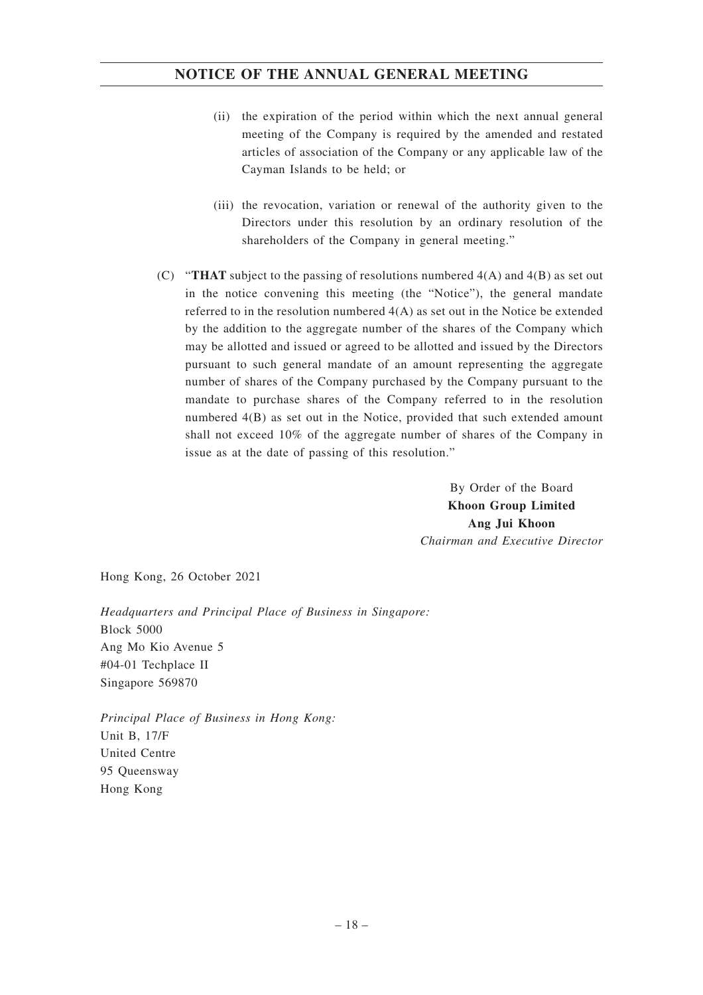- (ii) the expiration of the period within which the next annual general meeting of the Company is required by the amended and restated articles of association of the Company or any applicable law of the Cayman Islands to be held; or
- (iii) the revocation, variation or renewal of the authority given to the Directors under this resolution by an ordinary resolution of the shareholders of the Company in general meeting."
- (C) "**THAT** subject to the passing of resolutions numbered 4(A) and 4(B) as set out in the notice convening this meeting (the "Notice"), the general mandate referred to in the resolution numbered 4(A) as set out in the Notice be extended by the addition to the aggregate number of the shares of the Company which may be allotted and issued or agreed to be allotted and issued by the Directors pursuant to such general mandate of an amount representing the aggregate number of shares of the Company purchased by the Company pursuant to the mandate to purchase shares of the Company referred to in the resolution numbered 4(B) as set out in the Notice, provided that such extended amount shall not exceed 10% of the aggregate number of shares of the Company in issue as at the date of passing of this resolution."

By Order of the Board **Khoon Group Limited Ang Jui Khoon** *Chairman and Executive Director*

Hong Kong, 26 October 2021

*Headquarters and Principal Place of Business in Singapore:* Block 5000 Ang Mo Kio Avenue 5 #04-01 Techplace II Singapore 569870

*Principal Place of Business in Hong Kong:* Unit B, 17/F United Centre 95 Queensway Hong Kong